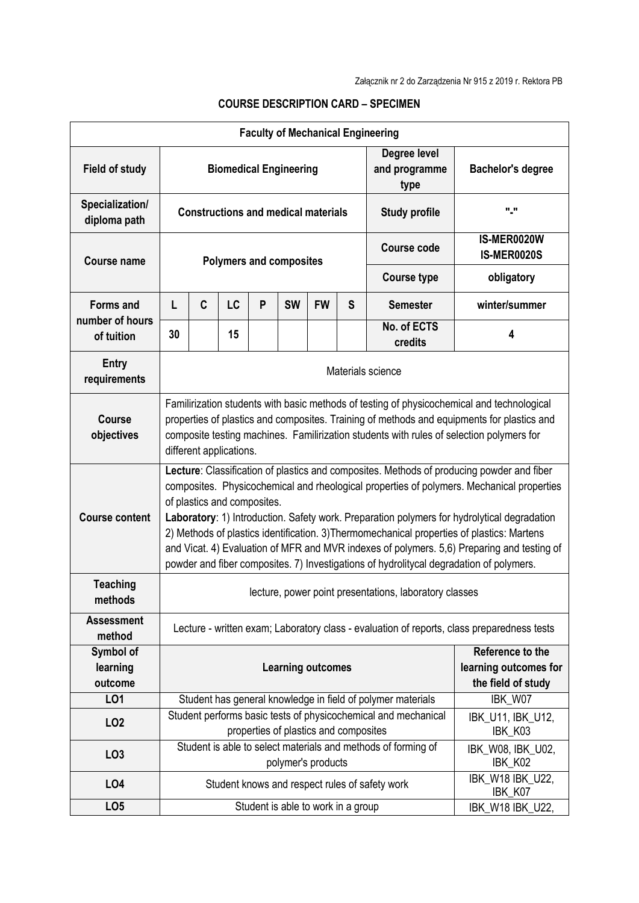|                                  |                                                                                                                                                                                                                                                                                                                                                                                                                                                                                                                                                                                                             |             |    |   |                                       |           |                                       | <b>Faculty of Mechanical Engineering</b>                       |                                   |  |
|----------------------------------|-------------------------------------------------------------------------------------------------------------------------------------------------------------------------------------------------------------------------------------------------------------------------------------------------------------------------------------------------------------------------------------------------------------------------------------------------------------------------------------------------------------------------------------------------------------------------------------------------------------|-------------|----|---|---------------------------------------|-----------|---------------------------------------|----------------------------------------------------------------|-----------------------------------|--|
| <b>Field of study</b>            | <b>Biomedical Engineering</b>                                                                                                                                                                                                                                                                                                                                                                                                                                                                                                                                                                               |             |    |   |                                       |           | Degree level<br>and programme<br>type | <b>Bachelor's degree</b>                                       |                                   |  |
| Specialization/<br>diploma path  | <b>Constructions and medical materials</b>                                                                                                                                                                                                                                                                                                                                                                                                                                                                                                                                                                  |             |    |   |                                       |           | <b>Study profile</b>                  | "."                                                            |                                   |  |
| <b>Course name</b>               | <b>Polymers and composites</b>                                                                                                                                                                                                                                                                                                                                                                                                                                                                                                                                                                              |             |    |   |                                       |           |                                       | <b>Course code</b>                                             | IS-MER0020W<br><b>IS-MER0020S</b> |  |
|                                  |                                                                                                                                                                                                                                                                                                                                                                                                                                                                                                                                                                                                             |             |    |   |                                       |           |                                       | <b>Course type</b>                                             | obligatory                        |  |
| <b>Forms and</b>                 | L                                                                                                                                                                                                                                                                                                                                                                                                                                                                                                                                                                                                           | $\mathbf c$ | LC | P | <b>SW</b>                             | <b>FW</b> | S                                     | <b>Semester</b>                                                | winter/summer                     |  |
| number of hours<br>of tuition    | 30                                                                                                                                                                                                                                                                                                                                                                                                                                                                                                                                                                                                          |             | 15 |   |                                       |           |                                       | No. of ECTS<br>credits                                         | 4                                 |  |
| Entry<br>requirements            | Materials science                                                                                                                                                                                                                                                                                                                                                                                                                                                                                                                                                                                           |             |    |   |                                       |           |                                       |                                                                |                                   |  |
| <b>Course</b><br>objectives      | Familirization students with basic methods of testing of physicochemical and technological<br>properties of plastics and composites. Training of methods and equipments for plastics and<br>composite testing machines. Familirization students with rules of selection polymers for<br>different applications.                                                                                                                                                                                                                                                                                             |             |    |   |                                       |           |                                       |                                                                |                                   |  |
| <b>Course content</b>            | Lecture: Classification of plastics and composites. Methods of producing powder and fiber<br>composites. Physicochemical and rheological properties of polymers. Mechanical properties<br>of plastics and composites.<br>Laboratory: 1) Introduction. Safety work. Preparation polymers for hydrolytical degradation<br>2) Methods of plastics identification. 3) Thermomechanical properties of plastics: Martens<br>and Vicat. 4) Evaluation of MFR and MVR indexes of polymers. 5,6) Preparing and testing of<br>powder and fiber composites. 7) Investigations of hydrolitycal degradation of polymers. |             |    |   |                                       |           |                                       |                                                                |                                   |  |
| <b>Teaching</b><br>methods       | lecture, power point presentations, laboratory classes                                                                                                                                                                                                                                                                                                                                                                                                                                                                                                                                                      |             |    |   |                                       |           |                                       |                                                                |                                   |  |
| <b>Assessment</b><br>method      | Lecture - written exam; Laboratory class - evaluation of reports, class preparedness tests                                                                                                                                                                                                                                                                                                                                                                                                                                                                                                                  |             |    |   |                                       |           |                                       |                                                                |                                   |  |
| Symbol of<br>learning<br>outcome | Reference to the<br><b>Learning outcomes</b><br>the field of study                                                                                                                                                                                                                                                                                                                                                                                                                                                                                                                                          |             |    |   |                                       |           | learning outcomes for                 |                                                                |                                   |  |
| LO1                              |                                                                                                                                                                                                                                                                                                                                                                                                                                                                                                                                                                                                             |             |    |   |                                       |           |                                       | Student has general knowledge in field of polymer materials    | IBK_W07                           |  |
| LO <sub>2</sub>                  |                                                                                                                                                                                                                                                                                                                                                                                                                                                                                                                                                                                                             |             |    |   | properties of plastics and composites |           |                                       | Student performs basic tests of physicochemical and mechanical | IBK_U11, IBK_U12,<br>IBK K03      |  |
| LO <sub>3</sub>                  | Student is able to select materials and methods of forming of<br>polymer's products                                                                                                                                                                                                                                                                                                                                                                                                                                                                                                                         |             |    |   |                                       |           | IBK_W08, IBK_U02,<br>IBK_K02          |                                                                |                                   |  |
| LO <sub>4</sub>                  |                                                                                                                                                                                                                                                                                                                                                                                                                                                                                                                                                                                                             |             |    |   |                                       |           |                                       | Student knows and respect rules of safety work                 | IBK_W18 IBK_U22,<br>IBK_K07       |  |
| LO <sub>5</sub>                  |                                                                                                                                                                                                                                                                                                                                                                                                                                                                                                                                                                                                             |             |    |   | Student is able to work in a group    |           |                                       |                                                                | IBK_W18 IBK_U22,                  |  |

## **COURSE DESCRIPTION CARD – SPECIMEN**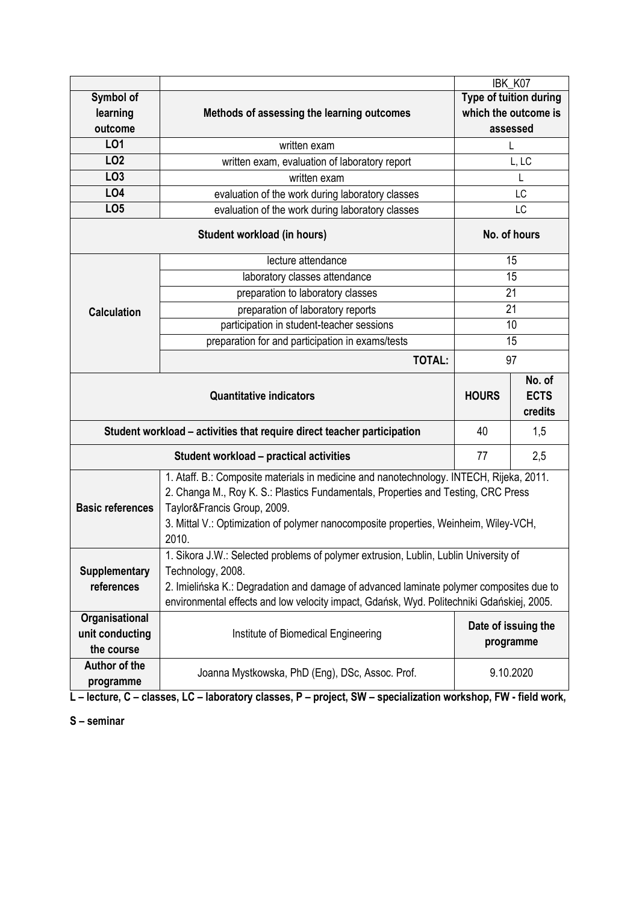|                                                                               |                                                                                                                                                                                                                                                                                                              | IBK_K07                          |                                  |  |  |  |  |  |
|-------------------------------------------------------------------------------|--------------------------------------------------------------------------------------------------------------------------------------------------------------------------------------------------------------------------------------------------------------------------------------------------------------|----------------------------------|----------------------------------|--|--|--|--|--|
| Symbol of                                                                     |                                                                                                                                                                                                                                                                                                              | <b>Type of tuition during</b>    |                                  |  |  |  |  |  |
| learning                                                                      | Methods of assessing the learning outcomes                                                                                                                                                                                                                                                                   | which the outcome is             |                                  |  |  |  |  |  |
| outcome                                                                       |                                                                                                                                                                                                                                                                                                              |                                  | assessed                         |  |  |  |  |  |
| LO1                                                                           | written exam                                                                                                                                                                                                                                                                                                 |                                  | L                                |  |  |  |  |  |
| LO <sub>2</sub>                                                               | written exam, evaluation of laboratory report                                                                                                                                                                                                                                                                | L, LC                            |                                  |  |  |  |  |  |
| LO <sub>3</sub>                                                               | written exam                                                                                                                                                                                                                                                                                                 | L                                |                                  |  |  |  |  |  |
| LO <sub>4</sub>                                                               | evaluation of the work during laboratory classes                                                                                                                                                                                                                                                             | LC                               |                                  |  |  |  |  |  |
| LO <sub>5</sub>                                                               | evaluation of the work during laboratory classes                                                                                                                                                                                                                                                             | LC                               |                                  |  |  |  |  |  |
|                                                                               | <b>Student workload (in hours)</b>                                                                                                                                                                                                                                                                           | No. of hours                     |                                  |  |  |  |  |  |
|                                                                               | lecture attendance                                                                                                                                                                                                                                                                                           |                                  | 15                               |  |  |  |  |  |
|                                                                               | laboratory classes attendance                                                                                                                                                                                                                                                                                | 15                               |                                  |  |  |  |  |  |
|                                                                               | preparation to laboratory classes                                                                                                                                                                                                                                                                            | 21                               |                                  |  |  |  |  |  |
| <b>Calculation</b>                                                            | preparation of laboratory reports                                                                                                                                                                                                                                                                            | 21                               |                                  |  |  |  |  |  |
|                                                                               | participation in student-teacher sessions                                                                                                                                                                                                                                                                    | 10                               |                                  |  |  |  |  |  |
|                                                                               | preparation for and participation in exams/tests                                                                                                                                                                                                                                                             | 15                               |                                  |  |  |  |  |  |
|                                                                               | <b>TOTAL:</b>                                                                                                                                                                                                                                                                                                | 97                               |                                  |  |  |  |  |  |
|                                                                               | <b>Quantitative indicators</b>                                                                                                                                                                                                                                                                               | <b>HOURS</b>                     | No. of<br><b>ECTS</b><br>credits |  |  |  |  |  |
| Student workload - activities that require direct teacher participation<br>40 |                                                                                                                                                                                                                                                                                                              |                                  |                                  |  |  |  |  |  |
|                                                                               | 2,5<br>Student workload - practical activities<br>77                                                                                                                                                                                                                                                         |                                  |                                  |  |  |  |  |  |
| <b>Basic references</b>                                                       | 1. Ataff. B.: Composite materials in medicine and nanotechnology. INTECH, Rijeka, 2011.<br>2. Changa M., Roy K. S.: Plastics Fundamentals, Properties and Testing, CRC Press<br>Taylor&Francis Group, 2009.<br>3. Mittal V.: Optimization of polymer nanocomposite properties, Weinheim, Wiley-VCH,<br>2010. |                                  |                                  |  |  |  |  |  |
| <b>Supplementary</b><br>references                                            | 1. Sikora J.W.: Selected problems of polymer extrusion, Lublin, Lublin University of<br>Technology, 2008.<br>2. Imielińska K.: Degradation and damage of advanced laminate polymer composites due to<br>environmental effects and low velocity impact, Gdańsk, Wyd. Politechniki Gdańskiej, 2005.            |                                  |                                  |  |  |  |  |  |
| Organisational<br>unit conducting<br>the course                               | Institute of Biomedical Engineering                                                                                                                                                                                                                                                                          | Date of issuing the<br>programme |                                  |  |  |  |  |  |
| Author of the                                                                 | Joanna Mystkowska, PhD (Eng), DSc, Assoc. Prof.                                                                                                                                                                                                                                                              | 9.10.2020                        |                                  |  |  |  |  |  |

**L – lecture, C – classes, LC – laboratory classes, P – project, SW – specialization workshop, FW - field work,**

**S – seminar**